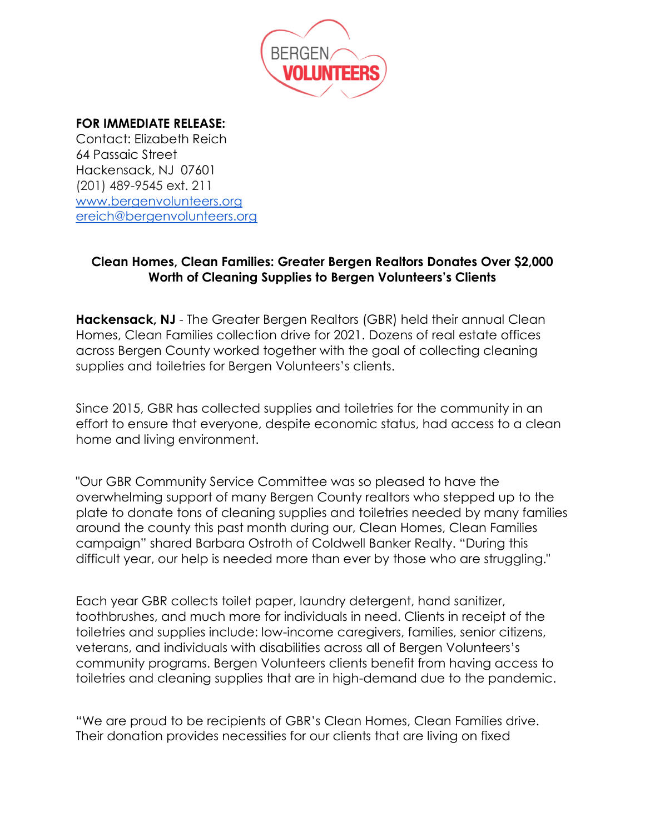

## **FOR IMMEDIATE RELEASE:**

Contact: Elizabeth Reich 64 Passaic Street Hackensack, NJ 07601 (201) 489-9545 ext. 211 [www.bergenvolunteers.org](http://www.bergenvolunteers.org/) [ereich@bergenvolunteers.org](mailto:ereich@bergenvolunteers.org)

## **Clean Homes, Clean Families: Greater Bergen Realtors Donates Over \$2,000 Worth of Cleaning Supplies to Bergen Volunteers's Clients**

**Hackensack, NJ** - The Greater Bergen Realtors (GBR) held their annual Clean Homes, Clean Families collection drive for 2021. Dozens of real estate offices across Bergen County worked together with the goal of collecting cleaning supplies and toiletries for Bergen Volunteers's clients.

Since 2015, GBR has collected supplies and toiletries for the community in an effort to ensure that everyone, despite economic status, had access to a clean home and living environment.

"Our GBR Community Service Committee was so pleased to have the overwhelming support of many Bergen County realtors who stepped up to the plate to donate tons of cleaning supplies and toiletries needed by many families around the county this past month during our, Clean Homes, Clean Families campaign" shared Barbara Ostroth of Coldwell Banker Realty. "During this difficult year, our help is needed more than ever by those who are struggling."

Each year GBR collects toilet paper, laundry detergent, hand sanitizer, toothbrushes, and much more for individuals in need. Clients in receipt of the toiletries and supplies include: low-income caregivers, families, senior citizens, veterans, and individuals with disabilities across all of Bergen Volunteers's community programs. Bergen Volunteers clients benefit from having access to toiletries and cleaning supplies that are in high-demand due to the pandemic.

"We are proud to be recipients of GBR's Clean Homes, Clean Families drive. Their donation provides necessities for our clients that are living on fixed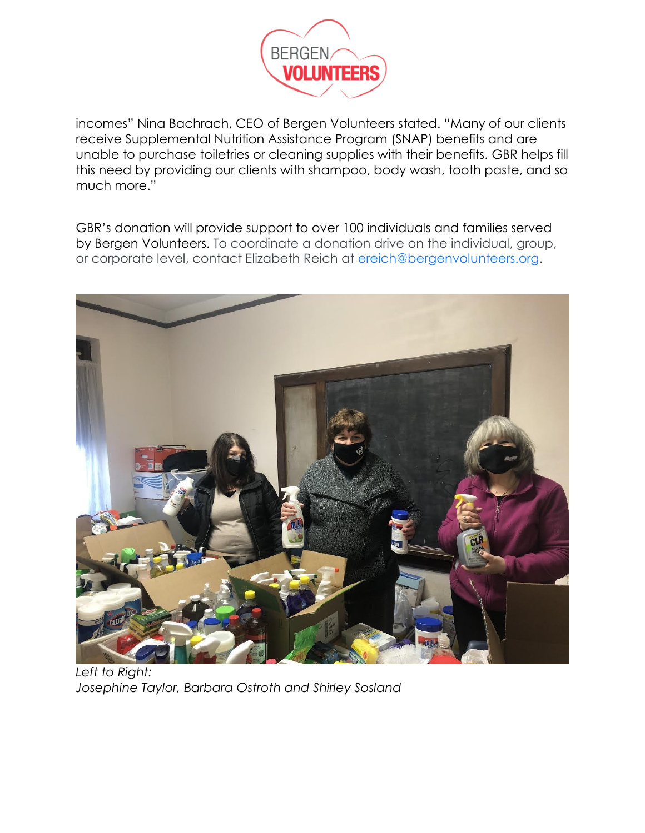

incomes" Nina Bachrach, CEO of Bergen Volunteers stated. "Many of our clients receive Supplemental Nutrition Assistance Program (SNAP) benefits and are unable to purchase toiletries or cleaning supplies with their benefits. GBR helps fill this need by providing our clients with shampoo, body wash, tooth paste, and so much more."

GBR's donation will provide support to over 100 individuals and families served by Bergen Volunteers. To coordinate a donation drive on the individual, group, or corporate level, contact Elizabeth Reich at ereich@bergenvolunteers.org.



*Left to Right: Josephine Taylor, Barbara Ostroth and Shirley Sosland*